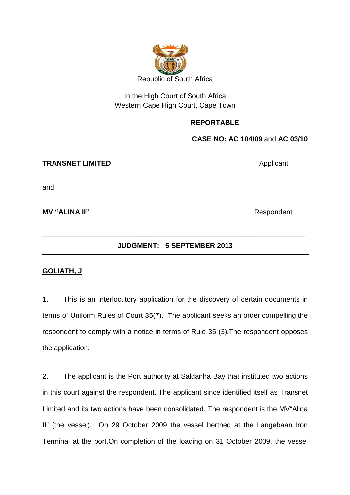

# In the High Court of South Africa Western Cape High Court, Cape Town

## **REPORTABLE**

**CASE NO: AC 104/09** and **AC 03/10**

#### **TRANSNET LIMITED** Applicant

and

**MV "ALINA II"** Respondent

## **JUDGMENT: 5 SEPTEMBER 2013**

\_\_\_\_\_\_\_\_\_\_\_\_\_\_\_\_\_\_\_\_\_\_\_\_\_\_\_\_\_\_\_\_\_\_\_\_\_\_\_\_\_\_\_\_\_\_\_\_\_\_\_\_\_\_\_\_\_\_\_\_\_\_\_\_\_\_\_

## **GOLIATH, J**

1. This is an interlocutory application for the discovery of certain documents in terms of Uniform Rules of Court 35(7). The applicant seeks an order compelling the respondent to comply with a notice in terms of Rule 35 (3).The respondent opposes the application.

2. The applicant is the Port authority at Saldanha Bay that instituted two actions in this court against the respondent. The applicant since identified itself as Transnet Limited and its two actions have been consolidated. The respondent is the MV"Alina II" (the vessel). On 29 October 2009 the vessel berthed at the Langebaan Iron Terminal at the port.On completion of the loading on 31 October 2009, the vessel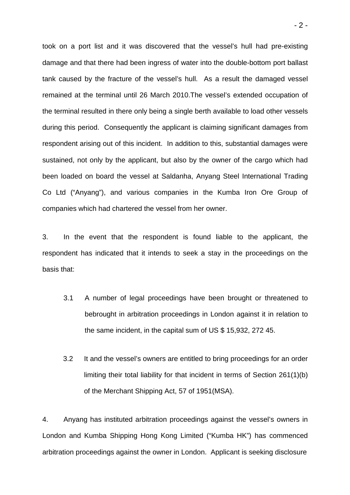took on a port list and it was discovered that the vessel's hull had pre-existing damage and that there had been ingress of water into the double-bottom port ballast tank caused by the fracture of the vessel's hull. As a result the damaged vessel remained at the terminal until 26 March 2010.The vessel's extended occupation of the terminal resulted in there only being a single berth available to load other vessels during this period. Consequently the applicant is claiming significant damages from respondent arising out of this incident. In addition to this, substantial damages were sustained, not only by the applicant, but also by the owner of the cargo which had been loaded on board the vessel at Saldanha, Anyang Steel International Trading Co Ltd ("Anyang"), and various companies in the Kumba Iron Ore Group of companies which had chartered the vessel from her owner.

3. In the event that the respondent is found liable to the applicant, the respondent has indicated that it intends to seek a stay in the proceedings on the basis that:

- 3.1 A number of legal proceedings have been brought or threatened to bebrought in arbitration proceedings in London against it in relation to the same incident, in the capital sum of US \$ 15,932, 272 45.
- 3.2 It and the vessel's owners are entitled to bring proceedings for an order limiting their total liability for that incident in terms of Section 261(1)(b) of the Merchant Shipping Act, 57 of 1951(MSA).

4. Anyang has instituted arbitration proceedings against the vessel's owners in London and Kumba Shipping Hong Kong Limited ("Kumba HK") has commenced arbitration proceedings against the owner in London. Applicant is seeking disclosure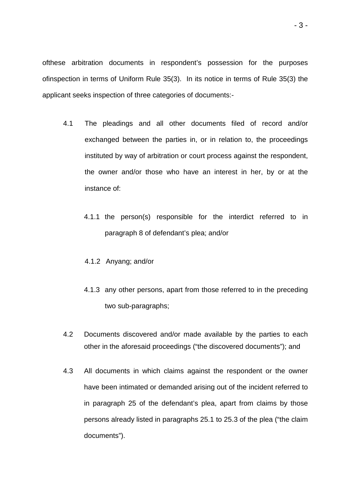ofthese arbitration documents in respondent's possession for the purposes ofinspection in terms of Uniform Rule 35(3). In its notice in terms of Rule 35(3) the applicant seeks inspection of three categories of documents:-

- 4.1 The pleadings and all other documents filed of record and/or exchanged between the parties in, or in relation to, the proceedings instituted by way of arbitration or court process against the respondent, the owner and/or those who have an interest in her, by or at the instance of:
	- 4.1.1 the person(s) responsible for the interdict referred to in paragraph 8 of defendant's plea; and/or
	- 4.1.2 Anyang; and/or
	- 4.1.3 any other persons, apart from those referred to in the preceding two sub-paragraphs;
- 4.2 Documents discovered and/or made available by the parties to each other in the aforesaid proceedings ("the discovered documents"); and
- 4.3 All documents in which claims against the respondent or the owner have been intimated or demanded arising out of the incident referred to in paragraph 25 of the defendant's plea, apart from claims by those persons already listed in paragraphs 25.1 to 25.3 of the plea ("the claim documents").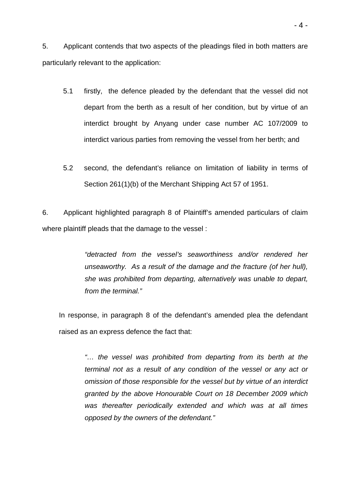5. Applicant contends that two aspects of the pleadings filed in both matters are particularly relevant to the application:

- 5.1 firstly, the defence pleaded by the defendant that the vessel did not depart from the berth as a result of her condition, but by virtue of an interdict brought by Anyang under case number AC 107/2009 to interdict various parties from removing the vessel from her berth; and
- 5.2 second, the defendant's reliance on limitation of liability in terms of Section 261(1)(b) of the Merchant Shipping Act 57 of 1951.

6. Applicant highlighted paragraph 8 of Plaintiff's amended particulars of claim where plaintiff pleads that the damage to the vessel :

> "detracted from the vessel's seaworthiness and/or rendered her unseaworthy. As a result of the damage and the fracture (of her hull), she was prohibited from departing, alternatively was unable to depart, from the terminal."

In response, in paragraph 8 of the defendant's amended plea the defendant raised as an express defence the fact that:

"… the vessel was prohibited from departing from its berth at the terminal not as a result of any condition of the vessel or any act or omission of those responsible for the vessel but by virtue of an interdict granted by the above Honourable Court on 18 December 2009 which was thereafter periodically extended and which was at all times opposed by the owners of the defendant."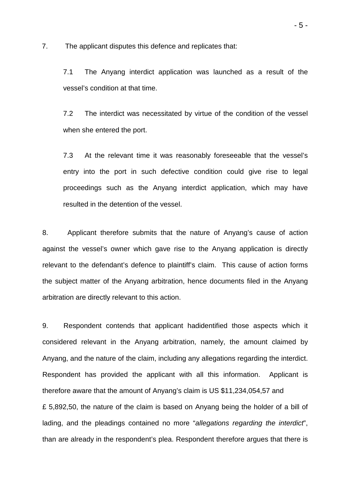7. The applicant disputes this defence and replicates that:

7.1 The Anyang interdict application was launched as a result of the vessel's condition at that time.

7.2 The interdict was necessitated by virtue of the condition of the vessel when she entered the port.

7.3 At the relevant time it was reasonably foreseeable that the vessel's entry into the port in such defective condition could give rise to legal proceedings such as the Anyang interdict application, which may have resulted in the detention of the vessel.

8. Applicant therefore submits that the nature of Anyang's cause of action against the vessel's owner which gave rise to the Anyang application is directly relevant to the defendant's defence to plaintiff's claim. This cause of action forms the subject matter of the Anyang arbitration, hence documents filed in the Anyang arbitration are directly relevant to this action.

9. Respondent contends that applicant hadidentified those aspects which it considered relevant in the Anyang arbitration, namely, the amount claimed by Anyang, and the nature of the claim, including any allegations regarding the interdict. Respondent has provided the applicant with all this information. Applicant is therefore aware that the amount of Anyang's claim is US \$11,234,054,57 and £ 5,892,50, the nature of the claim is based on Anyang being the holder of a bill of lading, and the pleadings contained no more "allegations regarding the interdict", than are already in the respondent's plea. Respondent therefore argues that there is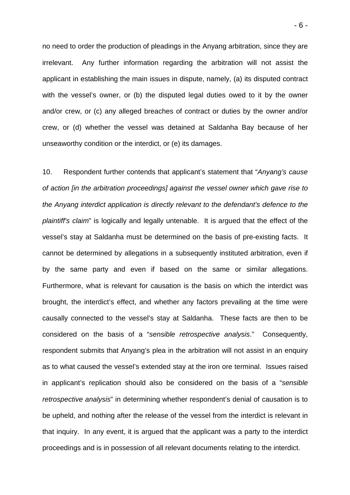no need to order the production of pleadings in the Anyang arbitration, since they are irrelevant. Any further information regarding the arbitration will not assist the applicant in establishing the main issues in dispute, namely, (a) its disputed contract with the vessel's owner, or (b) the disputed legal duties owed to it by the owner and/or crew, or (c) any alleged breaches of contract or duties by the owner and/or crew, or (d) whether the vessel was detained at Saldanha Bay because of her unseaworthy condition or the interdict, or (e) its damages.

10. Respondent further contends that applicant's statement that "Anyang's cause of action [in the arbitration proceedings] against the vessel owner which gave rise to the Anyang interdict application is directly relevant to the defendant's defence to the plaintiff's claim" is logically and legally untenable. It is argued that the effect of the vessel's stay at Saldanha must be determined on the basis of pre-existing facts. It cannot be determined by allegations in a subsequently instituted arbitration, even if by the same party and even if based on the same or similar allegations. Furthermore, what is relevant for causation is the basis on which the interdict was brought, the interdict's effect, and whether any factors prevailing at the time were causally connected to the vessel's stay at Saldanha. These facts are then to be considered on the basis of a "sensible retrospective analysis." Consequently, respondent submits that Anyang's plea in the arbitration will not assist in an enquiry as to what caused the vessel's extended stay at the iron ore terminal. Issues raised in applicant's replication should also be considered on the basis of a "sensible retrospective analysis" in determining whether respondent's denial of causation is to be upheld, and nothing after the release of the vessel from the interdict is relevant in that inquiry. In any event, it is argued that the applicant was a party to the interdict proceedings and is in possession of all relevant documents relating to the interdict.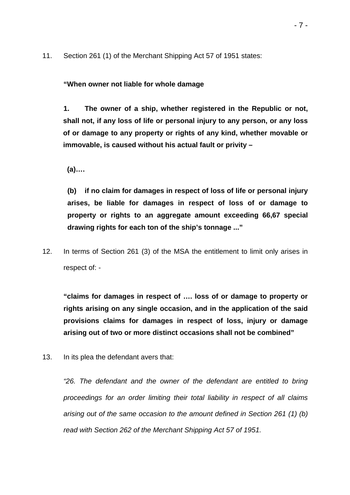11. Section 261 (1) of the Merchant Shipping Act 57 of 1951 states:

**"When owner not liable for whole damage** 

**1. The owner of a ship, whether registered in the Republic or not, shall not, if any loss of life or personal injury to any person, or any loss of or damage to any property or rights of any kind, whether movable or immovable, is caused without his actual fault or privity –** 

 **(a)….** 

**(b) if no claim for damages in respect of loss of life or personal injury arises, be liable for damages in respect of loss of or damage to property or rights to an aggregate amount exceeding 66,67 special drawing rights for each ton of the ship's tonnage ..."** 

12. In terms of Section 261 (3) of the MSA the entitlement to limit only arises in respect of: -

**"claims for damages in respect of …. loss of or damage to property or rights arising on any single occasion, and in the application of the said provisions claims for damages in respect of loss, injury or damage arising out of two or more distinct occasions shall not be combined"** 

13. In its plea the defendant avers that:

"26. The defendant and the owner of the defendant are entitled to bring proceedings for an order limiting their total liability in respect of all claims arising out of the same occasion to the amount defined in Section 261 (1) (b) read with Section 262 of the Merchant Shipping Act 57 of 1951.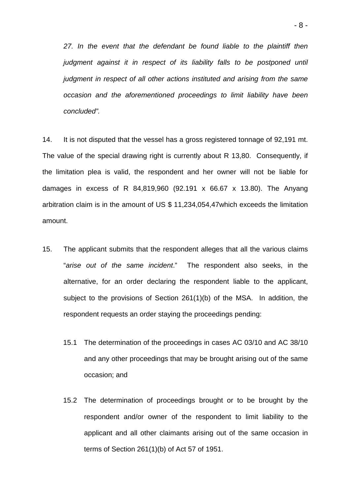27. In the event that the defendant be found liable to the plaintiff then judgment against it in respect of its liability falls to be postponed until judgment in respect of all other actions instituted and arising from the same occasion and the aforementioned proceedings to limit liability have been concluded".

14. It is not disputed that the vessel has a gross registered tonnage of 92,191 mt. The value of the special drawing right is currently about R 13,80. Consequently, if the limitation plea is valid, the respondent and her owner will not be liable for damages in excess of R 84,819,960 (92.191 x 66.67 x 13.80). The Anyang arbitration claim is in the amount of US \$ 11,234,054,47which exceeds the limitation amount.

- 15. The applicant submits that the respondent alleges that all the various claims "arise out of the same incident." The respondent also seeks, in the alternative, for an order declaring the respondent liable to the applicant, subject to the provisions of Section 261(1)(b) of the MSA. In addition, the respondent requests an order staying the proceedings pending:
	- 15.1 The determination of the proceedings in cases AC 03/10 and AC 38/10 and any other proceedings that may be brought arising out of the same occasion; and
	- 15.2 The determination of proceedings brought or to be brought by the respondent and/or owner of the respondent to limit liability to the applicant and all other claimants arising out of the same occasion in terms of Section 261(1)(b) of Act 57 of 1951.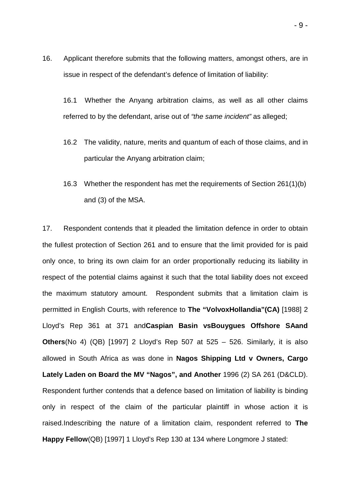16. Applicant therefore submits that the following matters, amongst others, are in issue in respect of the defendant's defence of limitation of liability:

16.1 Whether the Anyang arbitration claims, as well as all other claims referred to by the defendant, arise out of "the same incident" as alleged;

- 16.2 The validity, nature, merits and quantum of each of those claims, and in particular the Anyang arbitration claim;
- 16.3 Whether the respondent has met the requirements of Section 261(1)(b) and (3) of the MSA.

17. Respondent contends that it pleaded the limitation defence in order to obtain the fullest protection of Section 261 and to ensure that the limit provided for is paid only once, to bring its own claim for an order proportionally reducing its liability in respect of the potential claims against it such that the total liability does not exceed the maximum statutory amount. Respondent submits that a limitation claim is permitted in English Courts, with reference to **The "VolvoxHollandia"(CA)** [1988] 2 Lloyd's Rep 361 at 371 and**Caspian Basin vsBouygues Offshore SAand Others**(No 4) (QB) [1997] 2 Lloyd's Rep 507 at 525 – 526. Similarly, it is also allowed in South Africa as was done in **Nagos Shipping Ltd v Owners, Cargo Lately Laden on Board the MV "Nagos", and Another** 1996 (2) SA 261 (D&CLD). Respondent further contends that a defence based on limitation of liability is binding only in respect of the claim of the particular plaintiff in whose action it is raised.Indescribing the nature of a limitation claim, respondent referred to **The Happy Fellow**(QB) [1997] 1 Lloyd's Rep 130 at 134 where Longmore J stated: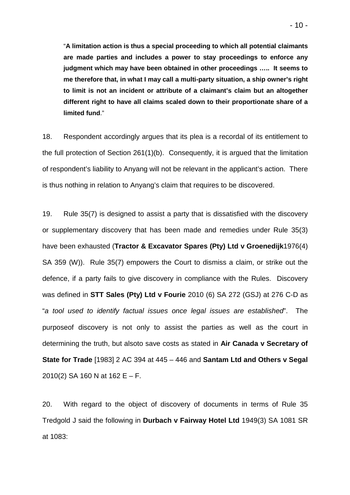"**A limitation action is thus a special proceeding to which all potential claimants are made parties and includes a power to stay proceedings to enforce any judgment which may have been obtained in other proceedings ….. It seems to me therefore that, in what I may call a multi-party situation, a ship owner's right to limit is not an incident or attribute of a claimant's claim but an altogether different right to have all claims scaled down to their proportionate share of a limited fund**."

18. Respondent accordingly argues that its plea is a recordal of its entitlement to the full protection of Section 261(1)(b). Consequently, it is argued that the limitation of respondent's liability to Anyang will not be relevant in the applicant's action. There is thus nothing in relation to Anyang's claim that requires to be discovered.

19. Rule 35(7) is designed to assist a party that is dissatisfied with the discovery or supplementary discovery that has been made and remedies under Rule 35(3) have been exhausted (**Tractor & Excavator Spares (Pty) Ltd v Groenedijk**1976(4) SA 359 (W)). Rule 35(7) empowers the Court to dismiss a claim, or strike out the defence, if a party fails to give discovery in compliance with the Rules. Discovery was defined in **STT Sales (Pty) Ltd v Fourie** 2010 (6) SA 272 (GSJ) at 276 C-D as "a tool used to identify factual issues once legal issues are established". The purposeof discovery is not only to assist the parties as well as the court in determining the truth, but alsoto save costs as stated in **Air Canada v Secretary of State for Trade** [1983] 2 AC 394 at 445 – 446 and **Santam Ltd and Others v Segal** 2010(2) SA 160 N at 162 E – F.

20. With regard to the object of discovery of documents in terms of Rule 35 Tredgold J said the following in **Durbach v Fairway Hotel Ltd** 1949(3) SA 1081 SR at 1083: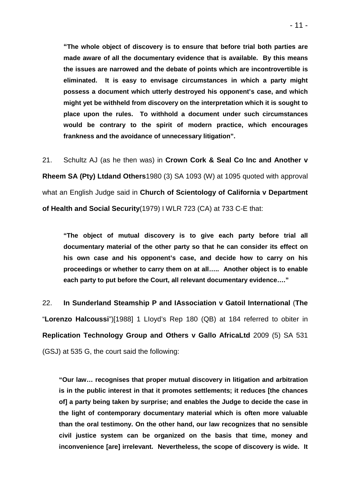**"The whole object of discovery is to ensure that before trial both parties are made aware of all the documentary evidence that is available. By this means the issues are narrowed and the debate of points which are incontrovertible is eliminated. It is easy to envisage circumstances in which a party might possess a document which utterly destroyed his opponent's case, and which might yet be withheld from discovery on the interpretation which it is sought to place upon the rules. To withhold a document under such circumstances would be contrary to the spirit of modern practice, which encourages frankness and the avoidance of unnecessary litigation".** 

21. Schultz AJ (as he then was) in **Crown Cork & Seal Co Inc and Another v Rheem SA (Pty) Ltdand Others**1980 (3) SA 1093 (W) at 1095 quoted with approval what an English Judge said in **Church of Scientology of California v Department of Health and Social Security**(1979) I WLR 723 (CA) at 733 C-E that:

**"The object of mutual discovery is to give each party before trial all documentary material of the other party so that he can consider its effect on his own case and his opponent's case, and decide how to carry on his proceedings or whether to carry them on at all….. Another object is to enable each party to put before the Court, all relevant documentary evidence…."** 

22. **In Sunderland Steamship P and IAssociation v Gatoil International** (**The**  "**Lorenzo Halcoussi**")[1988] 1 LIoyd's Rep 180 (QB) at 184 referred to obiter in **Replication Technology Group and Others v Gallo AfricaLtd** 2009 (5) SA 531 (GSJ) at 535 G, the court said the following:

**"Our law… recognises that proper mutual discovery in litigation and arbitration is in the public interest in that it promotes settlements; it reduces [the chances of] a party being taken by surprise; and enables the Judge to decide the case in the light of contemporary documentary material which is often more valuable than the oral testimony. On the other hand, our law recognizes that no sensible civil justice system can be organized on the basis that time, money and inconvenience [are] irrelevant. Nevertheless, the scope of discovery is wide. It**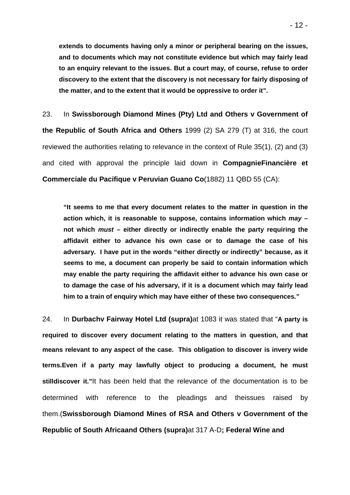**extends to documents having only a minor or peripheral bearing on the issues, and to documents which may not constitute evidence but which may fairly lead to an enquiry relevant to the issues. But a court may, of course, refuse to order discovery to the extent that the discovery is not necessary for fairly disposing of the matter, and to the extent that it would be oppressive to order it".** 

23. In **Swissborough Diamond Mines (Pty) Ltd and Others v Government of the Republic of South Africa and Others** 1999 (2) SA 279 (T) at 316, the court reviewed the authorities relating to relevance in the context of Rule 35(1), (2) and (3) and cited with approval the principle laid down in **CompagnieFinancière et Commerciale du Pacifique v Peruvian Guano Co**(1882) 11 QBD 55 (CA):

**"It seems to me that every document relates to the matter in question in the action which, it is reasonable to suppose, contains information which may – not which must – either directly or indirectly enable the party requiring the affidavit either to advance his own case or to damage the case of his adversary. I have put in the words "either directly or indirectly" because, as it seems to me, a document can properly be said to contain information which may enable the party requiring the affidavit either to advance his own case or to damage the case of his adversary, if it is a document which may fairly lead him to a train of enquiry which may have either of these two consequences."** 

24. In **Durbachv Fairway Hotel Ltd (supra)**at 1083 it was stated that "**A party is required to discover every document relating to the matters in question, and that means relevant to any aspect of the case. This obligation to discover is invery wide terms.Even if a party may lawfully object to producing a document, he must stilldiscover it."**It has been held that the relevance of the documentation is to be determined with reference to the pleadings and theissues raised by them.(**Swissborough Diamond Mines of RSA and Others v Government of the Republic of South Africaand Others (supra)**at 317 A-D**; Federal Wine and**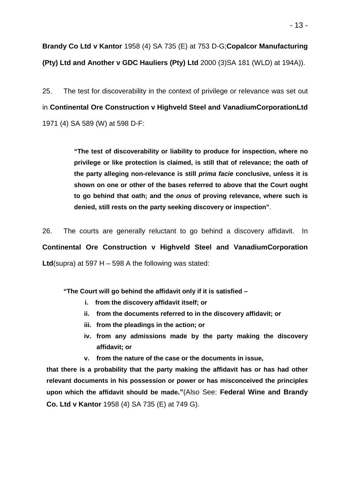**Brandy Co Ltd v Kantor** 1958 (4) SA 735 (E) at 753 D-G;**Copalcor Manufacturing (Pty) Ltd and Another v GDC Hauliers (Pty) Ltd** 2000 (3)SA 181 (WLD) at 194A)).

25. The test for discoverability in the context of privilege or relevance was set out in **Continental Ore Construction v Highveld Steel and VanadiumCorporationLtd**  1971 (4) SA 589 (W) at 598 D-F:

> **"The test of discoverability or liability to produce for inspection, where no privilege or like protection is claimed, is still that of relevance; the oath of the party alleging non-relevance is still prima facie conclusive, unless it is shown on one or other of the bases referred to above that the Court ought to go behind that oath; and the onus of proving relevance, where such is denied, still rests on the party seeking discovery or inspection"**.

26. The courts are generally reluctant to go behind a discovery affidavit. In **Continental Ore Construction v Highveld Steel and VanadiumCorporation Ltd**(supra) at 597 H – 598 A the following was stated:

**"The Court will go behind the affidavit only if it is satisfied –** 

- **i. from the discovery affidavit itself; or**
- **ii. from the documents referred to in the discovery affidavit; or**
- **iii. from the pleadings in the action; or**
- **iv. from any admissions made by the party making the discovery affidavit; or**
- **v. from the nature of the case or the documents in issue,**

**that there is a probability that the party making the affidavit has or has had other relevant documents in his possession or power or has misconceived the principles upon which the affidavit should be made."**(Also See: **Federal Wine and Brandy Co. Ltd v Kantor** 1958 (4) SA 735 (E) at 749 G).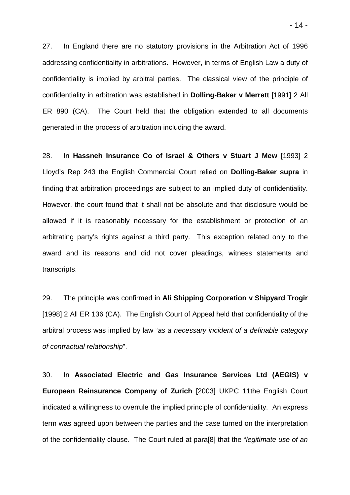27. In England there are no statutory provisions in the Arbitration Act of 1996 addressing confidentiality in arbitrations. However, in terms of English Law a duty of confidentiality is implied by arbitral parties. The classical view of the principle of confidentiality in arbitration was established in **Dolling-Baker v Merrett** [1991] 2 All ER 890 (CA). The Court held that the obligation extended to all documents generated in the process of arbitration including the award.

28. In **Hassneh Insurance Co of Israel & Others v Stuart J Mew** [1993] 2 Lloyd's Rep 243 the English Commercial Court relied on **Dolling-Baker supra** in finding that arbitration proceedings are subject to an implied duty of confidentiality. However, the court found that it shall not be absolute and that disclosure would be allowed if it is reasonably necessary for the establishment or protection of an arbitrating party's rights against a third party. This exception related only to the award and its reasons and did not cover pleadings, witness statements and transcripts.

29. The principle was confirmed in **Ali Shipping Corporation v Shipyard Trogir** [1998] 2 All ER 136 (CA). The English Court of Appeal held that confidentiality of the arbitral process was implied by law "as a necessary incident of a definable category of contractual relationship".

30. In **Associated Electric and Gas Insurance Services Ltd (AEGIS) v European Reinsurance Company of Zurich** [2003] UKPC 11the English Court indicated a willingness to overrule the implied principle of confidentiality. An express term was agreed upon between the parties and the case turned on the interpretation of the confidentiality clause. The Court ruled at para[8] that the "legitimate use of an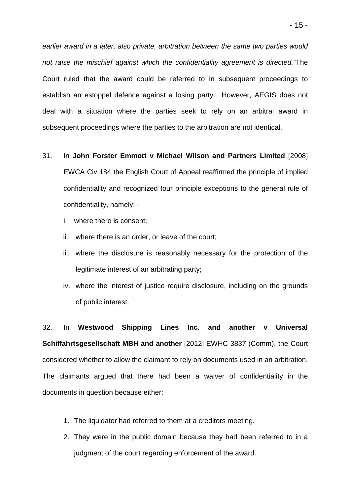earlier award in a later, also private, arbitration between the same two parties would not raise the mischief against which the confidentiality agreement is directed."The Court ruled that the award could be referred to in subsequent proceedings to establish an estoppel defence against a losing party. However, AEGIS does not deal with a situation where the parties seek to rely on an arbitral award in subsequent proceedings where the parties to the arbitration are not identical.

- 31. In **John Forster Emmott v Michael Wilson and Partners Limited** [2008] EWCA Civ 184 the English Court of Appeal reaffirmed the principle of implied confidentiality and recognized four principle exceptions to the general rule of confidentiality, namely:
	- i. where there is consent;
	- ii. where there is an order, or leave of the court;
	- iii. where the disclosure is reasonably necessary for the protection of the legitimate interest of an arbitrating party;
	- iv. where the interest of justice require disclosure, including on the grounds of public interest.

32. In **Westwood Shipping Lines Inc. and another v Universal Schiffahrtsgesellschaft MBH and another** [2012] EWHC 3837 (Comm), the Court considered whether to allow the claimant to rely on documents used in an arbitration. The claimants argued that there had been a waiver of confidentiality in the documents in question because either:

- 1. The liquidator had referred to them at a creditors meeting.
- 2. They were in the public domain because they had been referred to in a judgment of the court regarding enforcement of the award.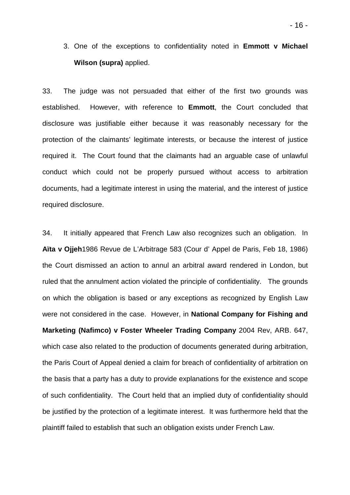3. One of the exceptions to confidentiality noted in **Emmott v Michael Wilson (supra)** applied.

33. The judge was not persuaded that either of the first two grounds was established. However, with reference to **Emmott**, the Court concluded that disclosure was justifiable either because it was reasonably necessary for the protection of the claimants' legitimate interests, or because the interest of justice required it. The Court found that the claimants had an arguable case of unlawful conduct which could not be properly pursued without access to arbitration documents, had a legitimate interest in using the material, and the interest of justice required disclosure.

34. It initially appeared that French Law also recognizes such an obligation. In **Aïta v Ojjeh**1986 Revue de L'Arbitrage 583 (Cour d' Appel de Paris, Feb 18, 1986) the Court dismissed an action to annul an arbitral award rendered in London, but ruled that the annulment action violated the principle of confidentiality. The grounds on which the obligation is based or any exceptions as recognized by English Law were not considered in the case. However, in **National Company for Fishing and Marketing (Nafimco) v Foster Wheeler Trading Company** 2004 Rev, ARB. 647, which case also related to the production of documents generated during arbitration, the Paris Court of Appeal denied a claim for breach of confidentiality of arbitration on the basis that a party has a duty to provide explanations for the existence and scope of such confidentiality. The Court held that an implied duty of confidentiality should be justified by the protection of a legitimate interest. It was furthermore held that the plaintiff failed to establish that such an obligation exists under French Law.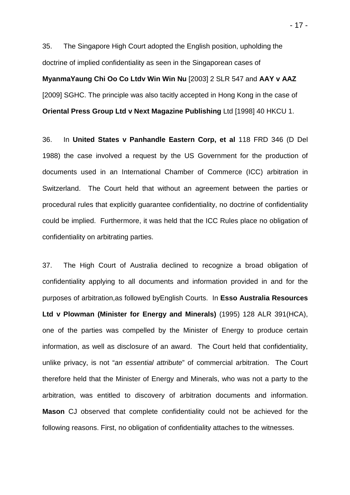35. The Singapore High Court adopted the English position, upholding the doctrine of implied confidentiality as seen in the Singaporean cases of **MyanmaYaung Chi Oo Co Ltdv Win Win Nu** [2003] 2 SLR 547 and **AAY v AAZ** [2009] SGHC. The principle was also tacitly accepted in Hong Kong in the case of **Oriental Press Group Ltd v Next Magazine Publishing** Ltd [1998] 40 HKCU 1.

36. In **United States v Panhandle Eastern Corp, et al** 118 FRD 346 (D Del 1988) the case involved a request by the US Government for the production of documents used in an International Chamber of Commerce (ICC) arbitration in Switzerland. The Court held that without an agreement between the parties or procedural rules that explicitly guarantee confidentiality, no doctrine of confidentiality could be implied. Furthermore, it was held that the ICC Rules place no obligation of confidentiality on arbitrating parties.

37. The High Court of Australia declined to recognize a broad obligation of confidentiality applying to all documents and information provided in and for the purposes of arbitration,as followed byEnglish Courts. In **Esso Australia Resources Ltd v Plowman (Minister for Energy and Minerals)** (1995) 128 ALR 391(HCA), one of the parties was compelled by the Minister of Energy to produce certain information, as well as disclosure of an award. The Court held that confidentiality, unlike privacy, is not "an essential attribute" of commercial arbitration. The Court therefore held that the Minister of Energy and Minerals, who was not a party to the arbitration, was entitled to discovery of arbitration documents and information. **Mason** CJ observed that complete confidentiality could not be achieved for the following reasons. First, no obligation of confidentiality attaches to the witnesses.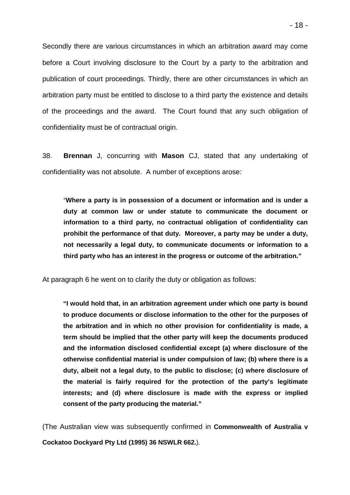Secondly there are various circumstances in which an arbitration award may come before a Court involving disclosure to the Court by a party to the arbitration and publication of court proceedings. Thirdly, there are other circumstances in which an arbitration party must be entitled to disclose to a third party the existence and details of the proceedings and the award. The Court found that any such obligation of confidentiality must be of contractual origin.

38. **Brennan** J, concurring with **Mason** CJ, stated that any undertaking of confidentiality was not absolute. A number of exceptions arose:

"**Where a party is in possession of a document or information and is under a duty at common law or under statute to communicate the document or information to a third party, no contractual obligation of confidentiality can prohibit the performance of that duty. Moreover, a party may be under a duty, not necessarily a legal duty, to communicate documents or information to a third party who has an interest in the progress or outcome of the arbitration."** 

At paragraph 6 he went on to clarify the duty or obligation as follows:

**"I would hold that, in an arbitration agreement under which one party is bound to produce documents or disclose information to the other for the purposes of the arbitration and in which no other provision for confidentiality is made, a term should be implied that the other party will keep the documents produced and the information disclosed confidential except (a) where disclosure of the otherwise confidential material is under compulsion of law; (b) where there is a duty, albeit not a legal duty, to the public to disclose; (c) where disclosure of the material is fairly required for the protection of the party's legitimate interests; and (d) where disclosure is made with the express or implied consent of the party producing the material."** 

(The Australian view was subsequently confirmed in **Commonwealth of Australia v Cockatoo Dockyard Pty Ltd (1995) 36 NSWLR 662.**).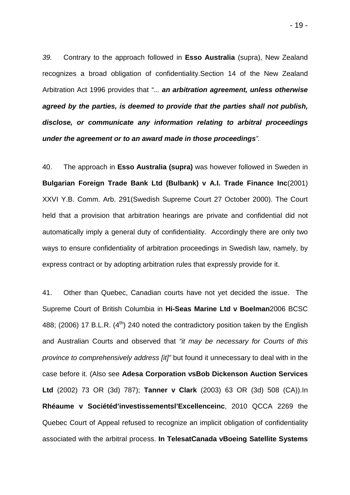39. Contrary to the approach followed in **Esso Australia** (supra), New Zealand recognizes a broad obligation of confidentiality.Section 14 of the New Zealand Arbitration Act 1996 provides that "... **an arbitration agreement, unless otherwise agreed by the parties, is deemed to provide that the parties shall not publish, disclose, or communicate any information relating to arbitral proceedings under the agreement or to an award made in those proceedings**".

40. The approach in **Esso Australia (supra)** was however followed in Sweden in **Bulgarian Foreign Trade Bank Ltd (Bulbank) v A.I. Trade Finance Inc**(2001) XXVI Y.B. Comm. Arb. 291(Swedish Supreme Court 27 October 2000). The Court held that a provision that arbitration hearings are private and confidential did not automatically imply a general duty of confidentiality. Accordingly there are only two ways to ensure confidentiality of arbitration proceedings in Swedish law, namely, by express contract or by adopting arbitration rules that expressly provide for it.

41. Other than Quebec, Canadian courts have not yet decided the issue. The Supreme Court of British Columbia in **Hi-Seas Marine Ltd v Boelman**2006 BCSC 488; (2006) 17 B.L.R.  $(4^{th})$  240 noted the contradictory position taken by the English and Australian Courts and observed that "it may be necessary for Courts of this province to comprehensively address [it]" but found it unnecessary to deal with in the case before it. (Also see **Adesa Corporation vsBob Dickenson Auction Services Ltd** (2002) 73 OR (3d) 787); **Tanner v Clark** (2003) 63 OR (3d) 508 (CA)).In **Rhéaume v Sociétéd'investissementsl'Excellenceinc**, 2010 QCCA 2269 the Quebec Court of Appeal refused to recognize an implicit obligation of confidentiality associated with the arbitral process. **In TelesatCanada vBoeing Satellite Systems**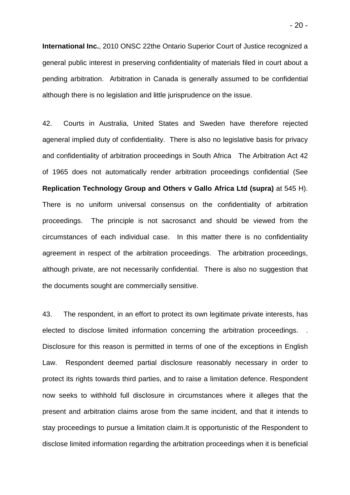**International Inc.**, 2010 ONSC 22the Ontario Superior Court of Justice recognized a general public interest in preserving confidentiality of materials filed in court about a pending arbitration. Arbitration in Canada is generally assumed to be confidential although there is no legislation and little jurisprudence on the issue.

42. Courts in Australia, United States and Sweden have therefore rejected ageneral implied duty of confidentiality. There is also no legislative basis for privacy and confidentiality of arbitration proceedings in South Africa The Arbitration Act 42 of 1965 does not automatically render arbitration proceedings confidential (See **Replication Technology Group and Others v Gallo Africa Ltd (supra)** at 545 H). There is no uniform universal consensus on the confidentiality of arbitration proceedings. The principle is not sacrosanct and should be viewed from the circumstances of each individual case. In this matter there is no confidentiality agreement in respect of the arbitration proceedings. The arbitration proceedings, although private, are not necessarily confidential. There is also no suggestion that the documents sought are commercially sensitive.

43. The respondent, in an effort to protect its own legitimate private interests, has elected to disclose limited information concerning the arbitration proceedings. Disclosure for this reason is permitted in terms of one of the exceptions in English Law. Respondent deemed partial disclosure reasonably necessary in order to protect its rights towards third parties, and to raise a limitation defence. Respondent now seeks to withhold full disclosure in circumstances where it alleges that the present and arbitration claims arose from the same incident, and that it intends to stay proceedings to pursue a limitation claim.It is opportunistic of the Respondent to disclose limited information regarding the arbitration proceedings when it is beneficial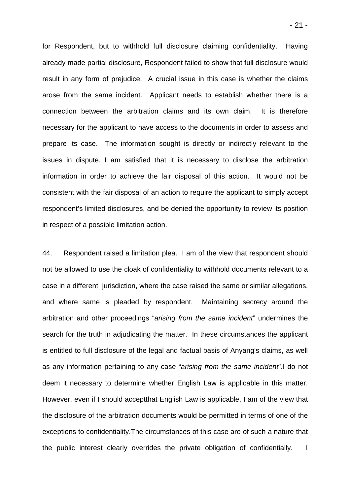for Respondent, but to withhold full disclosure claiming confidentiality. Having already made partial disclosure, Respondent failed to show that full disclosure would result in any form of prejudice. A crucial issue in this case is whether the claims arose from the same incident. Applicant needs to establish whether there is a connection between the arbitration claims and its own claim. It is therefore necessary for the applicant to have access to the documents in order to assess and prepare its case. The information sought is directly or indirectly relevant to the issues in dispute. I am satisfied that it is necessary to disclose the arbitration information in order to achieve the fair disposal of this action. It would not be consistent with the fair disposal of an action to require the applicant to simply accept respondent's limited disclosures, and be denied the opportunity to review its position in respect of a possible limitation action.

44. Respondent raised a limitation plea. I am of the view that respondent should not be allowed to use the cloak of confidentiality to withhold documents relevant to a case in a different jurisdiction, where the case raised the same or similar allegations, and where same is pleaded by respondent. Maintaining secrecy around the arbitration and other proceedings "arising from the same incident" undermines the search for the truth in adjudicating the matter. In these circumstances the applicant is entitled to full disclosure of the legal and factual basis of Anyang's claims, as well as any information pertaining to any case "arising from the same incident".I do not deem it necessary to determine whether English Law is applicable in this matter. However, even if I should acceptthat English Law is applicable, I am of the view that the disclosure of the arbitration documents would be permitted in terms of one of the exceptions to confidentiality.The circumstances of this case are of such a nature that the public interest clearly overrides the private obligation of confidentially. I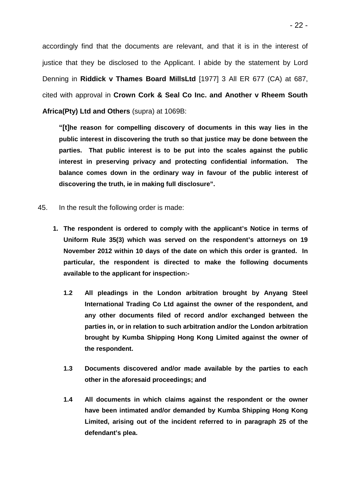accordingly find that the documents are relevant, and that it is in the interest of justice that they be disclosed to the Applicant. I abide by the statement by Lord Denning in **Riddick v Thames Board MillsLtd** [1977] 3 All ER 677 (CA) at 687, cited with approval in **Crown Cork & Seal Co Inc. and Another v Rheem South Africa(Pty) Ltd and Others** (supra) at 1069B:

**"[t]he reason for compelling discovery of documents in this way lies in the public interest in discovering the truth so that justice may be done between the parties. That public interest is to be put into the scales against the public interest in preserving privacy and protecting confidential information. The balance comes down in the ordinary way in favour of the public interest of discovering the truth, ie in making full disclosure".** 

- 45. In the result the following order is made:
	- **1. The respondent is ordered to comply with the applicant's Notice in terms of Uniform Rule 35(3) which was served on the respondent's attorneys on 19 November 2012 within 10 days of the date on which this order is granted. In particular, the respondent is directed to make the following documents available to the applicant for inspection:-** 
		- **1.2 All pleadings in the London arbitration brought by Anyang Steel International Trading Co Ltd against the owner of the respondent, and any other documents filed of record and/or exchanged between the parties in, or in relation to such arbitration and/or the London arbitration brought by Kumba Shipping Hong Kong Limited against the owner of the respondent.**
		- **1.3 Documents discovered and/or made available by the parties to each other in the aforesaid proceedings; and**
		- **1.4 All documents in which claims against the respondent or the owner have been intimated and/or demanded by Kumba Shipping Hong Kong Limited, arising out of the incident referred to in paragraph 25 of the defendant's plea.**